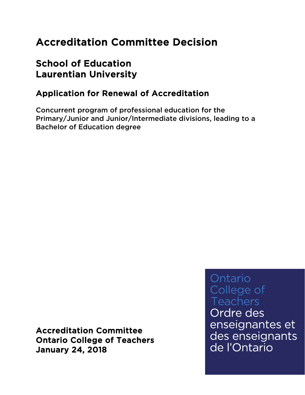# Accreditation Committee Decision

# School of Education Laurentian University

# Application for Renewal of Accreditation

Concurrent program of professional education for the Primary/Junior and Junior/Intermediate divisions, leading to a Bachelor of Education degree

Accreditation Committee Ontario College of Teachers January 24, 2018

Ontario College of **Teachers** 

Ordre des enseignantes et des enseignants de l'Ontario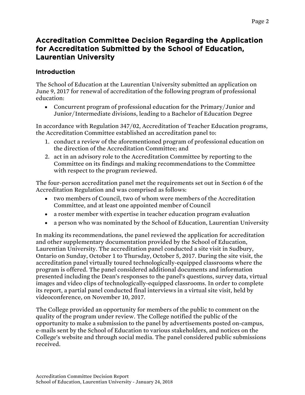## Accreditation Committee Decision Regarding the Application for Accreditation Submitted by the School of Education, Laurentian University

## Introduction

The School of Education at the Laurentian University submitted an application on June 9, 2017 for renewal of accreditation of the following program of professional education:

• Concurrent program of professional education for the Primary/Junior and Junior/Intermediate divisions, leading to a Bachelor of Education Degree

In accordance with Regulation 347/02, Accreditation of Teacher Education programs, the Accreditation Committee established an accreditation panel to:

- 1. conduct a review of the aforementioned program of professional education on the direction of the Accreditation Committee; and
- 2. act in an advisory role to the Accreditation Committee by reporting to the Committee on its findings and making recommendations to the Committee with respect to the program reviewed.

The four-person accreditation panel met the requirements set out in Section 6 of the Accreditation Regulation and was comprised as follows:

- two members of Council, two of whom were members of the Accreditation Committee, and at least one appointed member of Council
- a roster member with expertise in teacher education program evaluation
- a person who was nominated by the School of Education, Laurentian University

In making its recommendations, the panel reviewed the application for accreditation and other supplementary documentation provided by the School of Education, Laurentian University. The accreditation panel conducted a site visit in Sudbury, Ontario on Sunday, October 1 to Thursday, October 5, 2017. During the site visit, the accreditation panel virtually toured technologically-equipped classrooms where the program is offered. The panel considered additional documents and information presented including the Dean's responses to the panel's questions, survey data, virtual images and video clips of technologically-equipped classrooms. In order to complete its report, a partial panel conducted final interviews in a virtual site visit, held by videoconference, on November 10, 2017.

The College provided an opportunity for members of the public to comment on the quality of the program under review. The College notified the public of the opportunity to make a submission to the panel by advertisements posted on-campus, e-mails sent by the School of Education to various stakeholders, and notices on the College's website and through social media. The panel considered public submissions received.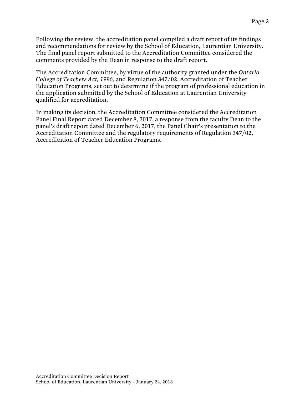Following the review, the accreditation panel compiled a draft report of its findings and recommendations for review by the School of Education, Laurentian University. The final panel report submitted to the Accreditation Committee considered the comments provided by the Dean in response to the draft report.

The Accreditation Committee, by virtue of the authority granted under the *Ontario College of Teachers Act, 1996*, and Regulation 347/02, Accreditation of Teacher Education Programs, set out to determine if the program of professional education in the application submitted by the School of Education at Laurentian University qualified for accreditation.

In making its decision, the Accreditation Committee considered the Accreditation Panel Final Report dated December 8, 2017, a response from the faculty Dean to the panel's draft report dated December 6, 2017, the Panel Chair's presentation to the Accreditation Committee and the regulatory requirements of Regulation 347/02, Accreditation of Teacher Education Programs.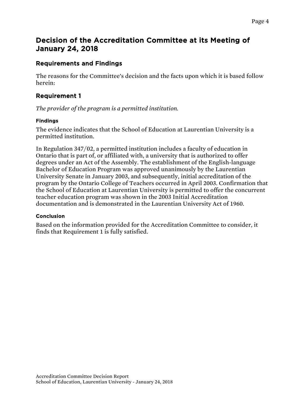## Decision of the Accreditation Committee at its Meeting of January 24, 2018

## Requirements and Findings

The reasons for the Committee's decision and the facts upon which it is based follow herein:

## Requirement 1

*The provider of the program is a permitted institution.*

## Findings

The evidence indicates that the School of Education at Laurentian University is a permitted institution.

In Regulation 347/02, a permitted institution includes a faculty of education in Ontario that is part of, or affiliated with, a university that is authorized to offer degrees under an Act of the Assembly. The establishment of the English-language Bachelor of Education Program was approved unanimously by the Laurentian University Senate in January 2003, and subsequently, initial accreditation of the program by the Ontario College of Teachers occurred in April 2003. Confirmation that the School of Education at Laurentian University is permitted to offer the concurrent teacher education program was shown in the 2003 Initial Accreditation documentation and is demonstrated in the Laurentian University Act of 1960.

### Conclusion

Based on the information provided for the Accreditation Committee to consider, it finds that Requirement 1 is fully satisfied.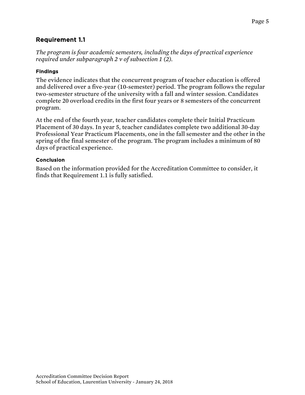## Requirement 1.1

*The program is four academic semesters, including the days of practical experience required under subparagraph 2 v of subsection 1 (2).*

### Findings

The evidence indicates that the concurrent program of teacher education is offered and delivered over a five-year (10-semester) period. The program follows the regular two-semester structure of the university with a fall and winter session. Candidates complete 20 overload credits in the first four years or 8 semesters of the concurrent program.

At the end of the fourth year, teacher candidates complete their Initial Practicum Placement of 30 days. In year 5, teacher candidates complete two additional 30-day Professional Year Practicum Placements, one in the fall semester and the other in the spring of the final semester of the program. The program includes a minimum of 80 days of practical experience.

### Conclusion

Based on the information provided for the Accreditation Committee to consider, it finds that Requirement 1.1 is fully satisfied.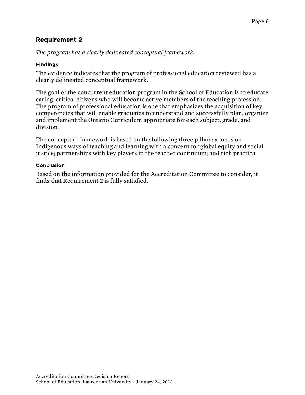*The program has a clearly delineated conceptual framework.*

## Findings

The evidence indicates that the program of professional education reviewed has a clearly delineated conceptual framework.

The goal of the concurrent education program in the School of Education is to educate caring, critical citizens who will become active members of the teaching profession. The program of professional education is one that emphasizes the acquisition of key competencies that will enable graduates to understand and successfully plan, organize and implement the Ontario Curriculum appropriate for each subject, grade, and division.

The conceptual framework is based on the following three pillars: a focus on Indigenous ways of teaching and learning with a concern for global equity and social justice; partnerships with key players in the teacher continuum; and rich practica.

## Conclusion

Based on the information provided for the Accreditation Committee to consider, it finds that Requirement 2 is fully satisfied.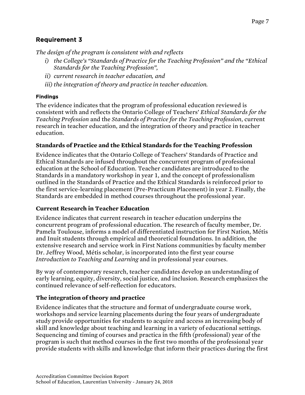*The design of the program is consistent with and reflects*

- *i) the College's "Standards of Practice for the Teaching Profession" and the "Ethical Standards for the Teaching Profession",*
- *ii) current research in teacher education, and*
- *iii) the integration of theory and practice in teacher education.*

## Findings

The evidence indicates that the program of professional education reviewed is consistent with and reflects the Ontario College of Teachers' *Ethical Standards for the Teaching Profession* and the *Standards of Practice for the Teaching Profession*, current research in teacher education, and the integration of theory and practice in teacher education.

## **Standards of Practice and the Ethical Standards for the Teaching Profession**

Evidence indicates that the Ontario College of Teachers' Standards of Practice and Ethical Standards are infused throughout the concurrent program of professional education at the School of Education. Teacher candidates are introduced to the Standards in a mandatory workshop in year 1, and the concept of professionalism outlined in the Standards of Practice and the Ethical Standards is reinforced prior to the first service-learning placement (Pre-Practicum Placement) in year 2. Finally, the Standards are embedded in method courses throughout the professional year.

## **Current Research in Teacher Education**

Evidence indicates that current research in teacher education underpins the concurrent program of professional education. The research of faculty member, Dr. Pamela Toulouse, informs a model of differentiated instruction for First Nation, Métis and Inuit students through empirical and theoretical foundations. In addition, the extensive research and service work in First Nations communities by faculty member Dr. Jeffrey Wood, Métis scholar, is incorporated into the first year course *Introduction to Teaching and Learning* and in professional year courses.

By way of contemporary research, teacher candidates develop an understanding of early learning, equity, diversity, social justice, and inclusion. Research emphasizes the continued relevance of self-reflection for educators.

## **The integration of theory and practice**

Evidence indicates that the structure and format of undergraduate course work, workshops and service learning placements during the four years of undergraduate study provide opportunities for students to acquire and access an increasing body of skill and knowledge about teaching and learning in a variety of educational settings. Sequencing and timing of courses and practica in the fifth (professional) year of the program is such that method courses in the first two months of the professional year provide students with skills and knowledge that inform their practices during the first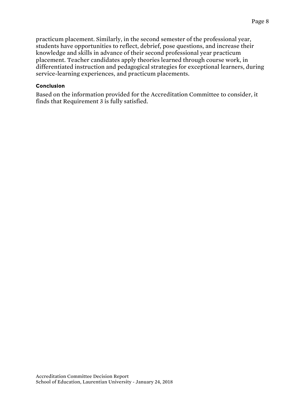practicum placement. Similarly, in the second semester of the professional year, students have opportunities to reflect, debrief, pose questions, and increase their knowledge and skills in advance of their second professional year practicum placement. Teacher candidates apply theories learned through course work, in differentiated instruction and pedagogical strategies for exceptional learners, during service-learning experiences, and practicum placements.

#### Conclusion

Based on the information provided for the Accreditation Committee to consider, it finds that Requirement 3 is fully satisfied.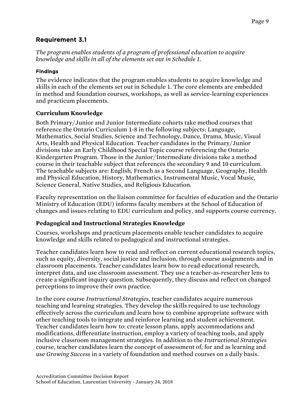## Requirement 3.1

*The program enables students of a program of professional education to acquire knowledge and skills in all of the elements set out in Schedule 1.*

## Findings

The evidence indicates that the program enables students to acquire knowledge and skills in each of the elements set out in Schedule 1. The core elements are embedded in method and foundation courses, workshops, as well as service-learning experiences and practicum placements.

## **Curriculum Knowledge**

Both Primary/Junior and Junior Intermediate cohorts take method courses that reference the Ontario Curriculum 1-8 in the following subjects: Language, Mathematics, Social Studies, Science and Technology, Dance, Drama, Music, Visual Arts, Health and Physical Education. Teacher candidates in the Primary/Junior divisions take an Early Childhood Special Topic course referencing the Ontario Kindergarten Program. Those in the Junior/Intermediate divisions take a method course in their teachable subject that references the secondary 9 and 10 curriculum. The teachable subjects are: English, French as a Second Language, Geography, Health and Physical Education, History, Mathematics, Instrumental Music, Vocal Music, Science General, Native Studies, and Religious Education.

Faculty representation on the liaison committee for faculties of education and the Ontario Ministry of Education (EDU) informs faculty members at the School of Education of changes and issues relating to EDU curriculum and policy, and supports course currency.

## **Pedagogical and Instructional Strategies Knowledge**

Courses, workshops and practicum placements enable teacher candidates to acquire knowledge and skills related to pedagogical and instructional strategies.

Teacher candidates learn how to read and reflect on current educational research topics, such as equity, diversity, social justice and inclusion, through course assignments and in classroom placements. Teacher candidates learn how to read educational research, interpret data, and use classroom assessment. They use a teacher-as-researcher lens to create a significant inquiry question. Subsequently, they discuss and reflect on changed perceptions to improve their own practice.

In the core course *Instructional Strategies*, teacher candidates acquire numerous teaching and learning strategies. They develop the skills required to use technology effectively across the curriculum and learn how to combine appropriate software with other teaching tools to integrate and reinforce learning and student achievement. Teacher candidates learn how to: create lesson plans, apply accommodations and modifications, differentiate instruction, employ a variety of teaching tools, and apply inclusive classroom management strategies. In addition to the *Instructional Strategies* course, teacher candidates learn the concept of assessment of, for and as learning and use *Growing Success* in a variety of foundation and method courses on a daily basis.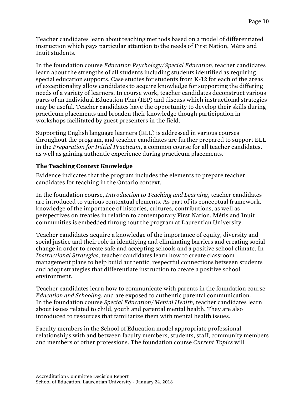Teacher candidates learn about teaching methods based on a model of differentiated instruction which pays particular attention to the needs of First Nation, Métis and Inuit students.

In the foundation course *Education Psychology/Special Education*, teacher candidates learn about the strengths of all students including students identified as requiring special education supports. Case studies for students from K-12 for each of the areas of exceptionality allow candidates to acquire knowledge for supporting the differing needs of a variety of learners. In course work, teacher candidates deconstruct various parts of an Individual Education Plan (IEP) and discuss which instructional strategies may be useful. Teacher candidates have the opportunity to develop their skills during practicum placements and broaden their knowledge though participation in workshops facilitated by guest presenters in the field.

Supporting English language learners (ELL) is addressed in various courses throughout the program, and teacher candidates are further prepared to support ELL in the *Preparation for Initial Practicum*, a common course for all teacher candidates, as well as gaining authentic experience during practicum placements.

### **The Teaching Context Knowledge**

Evidence indicates that the program includes the elements to prepare teacher candidates for teaching in the Ontario context.

In the foundation course, *Introduction to Teaching and Learning*, teacher candidates are introduced to various contextual elements. As part of its conceptual framework, knowledge of the importance of histories, cultures, contributions, as well as perspectives on treaties in relation to contemporary First Nation, Métis and Inuit communities is embedded throughout the program at Laurentian University.

Teacher candidates acquire a knowledge of the importance of equity, diversity and social justice and their role in identifying and eliminating barriers and creating social change in order to create safe and accepting schools and a positive school climate. In *Instructional Strategies*, teacher candidates learn how to create classroom management plans to help build authentic, respectful connections between students and adopt strategies that differentiate instruction to create a positive school environment.

Teacher candidates learn how to communicate with parents in the foundation course *Education and Schooling*, and are exposed to authentic parental communication. In the foundation course *Special Education/Mental Health,* teacher candidates learn about issues related to child, youth and parental mental health. They are also introduced to resources that familiarize them with mental health issues.

Faculty members in the School of Education model appropriate professional relationships with and between faculty members, students, staff, community members and members of other professions. The foundation course *Current Topics* will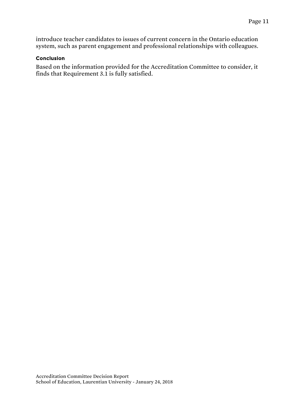introduce teacher candidates to issues of current concern in the Ontario education system, such as parent engagement and professional relationships with colleagues.

#### Conclusion

Based on the information provided for the Accreditation Committee to consider, it finds that Requirement 3.1 is fully satisfied.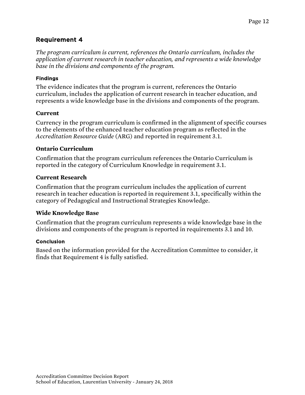*The program curriculum is current, references the Ontario curriculum, includes the application of current research in teacher education, and represents a wide knowledge base in the divisions and components of the program.*

#### Findings

The evidence indicates that the program is current, references the Ontario curriculum, includes the application of current research in teacher education, and represents a wide knowledge base in the divisions and components of the program.

#### **Current**

Currency in the program curriculum is confirmed in the alignment of specific courses to the elements of the enhanced teacher education program as reflected in the *Accreditation Resource Guide* (ARG) and reported in requirement 3.1.

#### **Ontario Curriculum**

Confirmation that the program curriculum references the Ontario Curriculum is reported in the category of Curriculum Knowledge in requirement 3.1.

#### **Current Research**

Confirmation that the program curriculum includes the application of current research in teacher education is reported in requirement 3.1, specifically within the category of Pedagogical and Instructional Strategies Knowledge.

### **Wide Knowledge Base**

Confirmation that the program curriculum represents a wide knowledge base in the divisions and components of the program is reported in requirements 3.1 and 10.

#### Conclusion

Based on the information provided for the Accreditation Committee to consider, it finds that Requirement 4 is fully satisfied.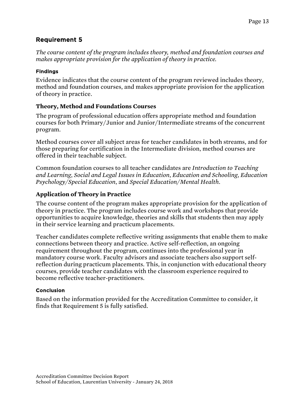*The course content of the program includes theory, method and foundation courses and makes appropriate provision for the application of theory in practice.*

#### Findings

Evidence indicates that the course content of the program reviewed includes theory, method and foundation courses, and makes appropriate provision for the application of theory in practice.

## **Theory, Method and Foundations Courses**

The program of professional education offers appropriate method and foundation courses for both Primary/Junior and Junior/Intermediate streams of the concurrent program.

Method courses cover all subject areas for teacher candidates in both streams, and for those preparing for certification in the Intermediate division, method courses are offered in their teachable subject.

Common foundation courses to all teacher candidates are *Introduction to Teaching and Learning*, *Social and Legal Issues in Education*, *Education and Schooling*, *Education Psychology/Special Education*, and *Special Education/Mental Health*.

## **Application of Theory in Practice**

The course content of the program makes appropriate provision for the application of theory in practice. The program includes course work and workshops that provide opportunities to acquire knowledge, theories and skills that students then may apply in their service learning and practicum placements.

Teacher candidates complete reflective writing assignments that enable them to make connections between theory and practice. Active self-reflection, an ongoing requirement throughout the program, continues into the professional year in mandatory course work. Faculty advisors and associate teachers also support selfreflection during practicum placements. This, in conjunction with educational theory courses, provide teacher candidates with the classroom experience required to become reflective teacher-practitioners.

### Conclusion

Based on the information provided for the Accreditation Committee to consider, it finds that Requirement 5 is fully satisfied.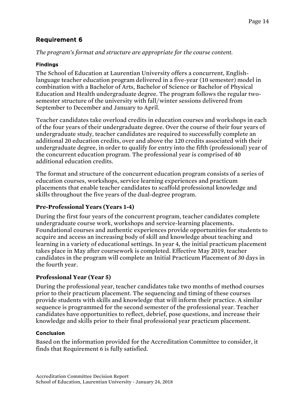## *The program's format and structure are appropriate for the course content.*

## Findings

The School of Education at Laurentian University offers a concurrent, Englishlanguage teacher education program delivered in a five-year (10 semester) model in combination with a Bachelor of Arts, Bachelor of Science or Bachelor of Physical Education and Health undergraduate degree. The program follows the regular twosemester structure of the university with fall/winter sessions delivered from September to December and January to April.

Teacher candidates take overload credits in education courses and workshops in each of the four years of their undergraduate degree. Over the course of their four years of undergraduate study, teacher candidates are required to successfully complete an additional 20 education credits, over and above the 120 credits associated with their undergraduate degree, in order to qualify for entry into the fifth (professional) year of the concurrent education program. The professional year is comprised of 40 additional education credits.

The format and structure of the concurrent education program consists of a series of education courses, workshops, service learning experiences and practicum placements that enable teacher candidates to scaffold professional knowledge and skills throughout the five years of the dual-degree program.

## **Pre-Professional Years (Years 1-4)**

During the first four years of the concurrent program, teacher candidates complete undergraduate course work, workshops and service-learning placements. Foundational courses and authentic experiences provide opportunities for students to acquire and access an increasing body of skill and knowledge about teaching and learning in a variety of educational settings. In year 4, the initial practicum placement takes place in May after coursework is completed. Effective May 2019, teacher candidates in the program will complete an Initial Practicum Placement of 30 days in the fourth year.

## **Professional Year (Year 5)**

During the professional year, teacher candidates take two months of method courses prior to their practicum placement. The sequencing and timing of these courses provide students with skills and knowledge that will inform their practice. A similar sequence is programmed for the second semester of the professional year. Teacher candidates have opportunities to reflect, debrief, pose questions, and increase their knowledge and skills prior to their final professional year practicum placement.

### Conclusion

Based on the information provided for the Accreditation Committee to consider, it finds that Requirement 6 is fully satisfied.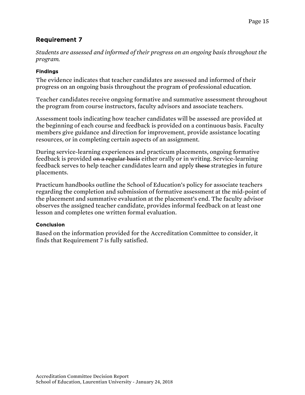*Students are assessed and informed of their progress on an ongoing basis throughout the program.*

## Findings

The evidence indicates that teacher candidates are assessed and informed of their progress on an ongoing basis throughout the program of professional education.

Teacher candidates receive ongoing formative and summative assessment throughout the program from course instructors, faculty advisors and associate teachers.

Assessment tools indicating how teacher candidates will be assessed are provided at the beginning of each course and feedback is provided on a continuous basis. Faculty members give guidance and direction for improvement, provide assistance locating resources, or in completing certain aspects of an assignment.

During service-learning experiences and practicum placements, ongoing formative feedback is provided on a regular basis either orally or in writing. Service-learning feedback serves to help teacher candidates learn and apply these strategies in future placements.

Practicum handbooks outline the School of Education's policy for associate teachers regarding the completion and submission of formative assessment at the mid-point of the placement and summative evaluation at the placement's end. The faculty advisor observes the assigned teacher candidate, provides informal feedback on at least one lesson and completes one written formal evaluation.

### Conclusion

Based on the information provided for the Accreditation Committee to consider, it finds that Requirement 7 is fully satisfied.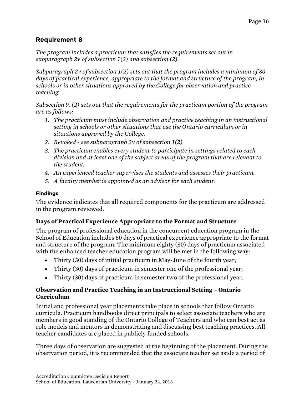*The program includes a practicum that satisfies the requirements set out in subparagraph 2v of subsection 1(2) and subsection (2).*

*Subparagraph 2v of subsection 1(2) sets out that the program includes a minimum of 80 days of practical experience, appropriate to the format and structure of the program, in schools or in other situations approved by the College for observation and practice teaching.*

*Subsection 9. (2) sets out that the requirements for the practicum portion of the program are as follows:*

- 1. The practicum must include observation and practice teaching in an instructional *setting in schools or other situations that use the Ontario curriculum or in situations approved by the College.*
- *2. Revoked - see subparagraph 2v of subsection 1(2)*
- *3. The practicum enables every student to participate in settings related to each division and at least one of the subject areas of the program that are relevant to the student.*
- *4. An experienced teacher supervises the students and assesses their practicum.*
- *5. A faculty member is appointed as an advisor for each student.*

### Findings

The evidence indicates that all required components for the practicum are addressed in the program reviewed.

## **Days of Practical Experience Appropriate to the Format and Structure**

The program of professional education in the concurrent education program in the School of Education includes 80 days of practical experience appropriate to the format and structure of the program. The minimum eighty (80) days of practicum associated with the enhanced teacher education program will be met in the following way:

- Thirty (30) days of initial practicum in May-June of the fourth year;
- Thirty (30) days of practicum in semester one of the professional year;
- Thirty (30) days of practicum in semester two of the professional year.

## **Observation and Practice Teaching in an Instructional Setting – Ontario Curriculum**

Initial and professional year placements take place in schools that follow Ontario curricula. Practicum handbooks direct principals to select associate teachers who are members in good standing of the Ontario College of Teachers and who can best act as role models and mentors in demonstrating and discussing best teaching practices. All teacher candidates are placed in publicly funded schools.

Three days of observation are suggested at the beginning of the placement. During the observation period, it is recommended that the associate teacher set aside a period of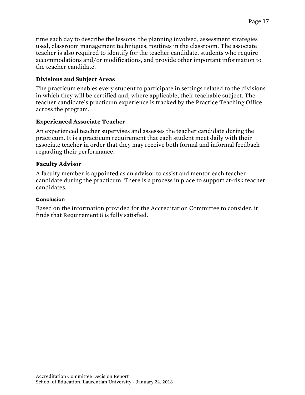time each day to describe the lessons, the planning involved, assessment strategies used, classroom management techniques, routines in the classroom. The associate teacher is also required to identify for the teacher candidate, students who require accommodations and/or modifications, and provide other important information to the teacher candidate.

## **Divisions and Subject Areas**

The practicum enables every student to participate in settings related to the divisions in which they will be certified and, where applicable, their teachable subject. The teacher candidate's practicum experience is tracked by the Practice Teaching Office across the program.

## **Experienced Associate Teacher**

An experienced teacher supervises and assesses the teacher candidate during the practicum. It is a practicum requirement that each student meet daily with their associate teacher in order that they may receive both formal and informal feedback regarding their performance.

## **Faculty Advisor**

A faculty member is appointed as an advisor to assist and mentor each teacher candidate during the practicum. There is a process in place to support at-risk teacher candidates.

#### Conclusion

Based on the information provided for the Accreditation Committee to consider, it finds that Requirement 8 is fully satisfied.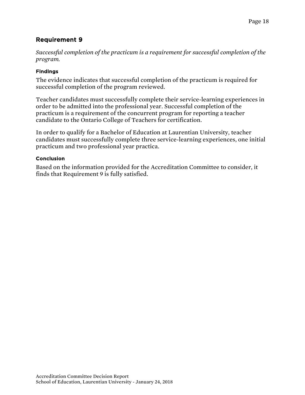*Successful completion of the practicum is a requirement for successful completion of the program.*

#### Findings

The evidence indicates that successful completion of the practicum is required for successful completion of the program reviewed.

Teacher candidates must successfully complete their service-learning experiences in order to be admitted into the professional year. Successful completion of the practicum is a requirement of the concurrent program for reporting a teacher candidate to the Ontario College of Teachers for certification.

In order to qualify for a Bachelor of Education at Laurentian University, teacher candidates must successfully complete three service-learning experiences, one initial practicum and two professional year practica.

#### Conclusion

Based on the information provided for the Accreditation Committee to consider, it finds that Requirement 9 is fully satisfied.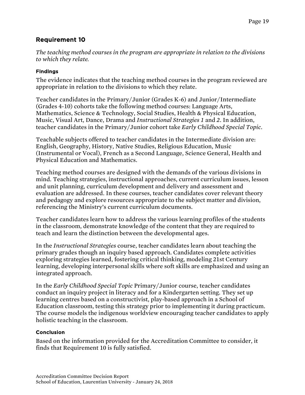*The teaching method courses in the program are appropriate in relation to the divisions to which they relate.*

#### Findings

The evidence indicates that the teaching method courses in the program reviewed are appropriate in relation to the divisions to which they relate.

Teacher candidates in the Primary/Junior (Grades K-6) and Junior/Intermediate (Grades 4-10) cohorts take the following method courses: Language Arts, Mathematics, Science & Technology, Social Studies, Health & Physical Education, Music, Visual Art, Dance, Drama and *Instructional Strategies 1* and *2*. In addition, teacher candidates in the Primary/Junior cohort take *Early Childhood Special Topic*.

Teachable subjects offered to teacher candidates in the Intermediate division are: English, Geography, History, Native Studies, Religious Education, Music (Instrumental or Vocal), French as a Second Language, Science General, Health and Physical Education and Mathematics.

Teaching method courses are designed with the demands of the various divisions in mind. Teaching strategies, instructional approaches, current curriculum issues, lesson and unit planning, curriculum development and delivery and assessment and evaluation are addressed. In these courses, teacher candidates cover relevant theory and pedagogy and explore resources appropriate to the subject matter and division, referencing the Ministry's current curriculum documents.

Teacher candidates learn how to address the various learning profiles of the students in the classroom, demonstrate knowledge of the content that they are required to teach and learn the distinction between the developmental ages.

In the *Instructional Strategies* course, teacher candidates learn about teaching the primary grades though an inquiry based approach. Candidates complete activities exploring strategies learned, fostering critical thinking, modeling 21st Century learning, developing interpersonal skills where soft skills are emphasized and using an integrated approach.

In the *Early Childhood Special Topic* Primary/Junior course, teacher candidates conduct an inquiry project in literacy and for a Kindergarten setting. They set up learning centres based on a constructivist, play-based approach in a School of Education classroom, testing this strategy prior to implementing it during practicum. The course models the indigenous worldview encouraging teacher candidates to apply holistic teaching in the classroom.

#### Conclusion

Based on the information provided for the Accreditation Committee to consider, it finds that Requirement 10 is fully satisfied.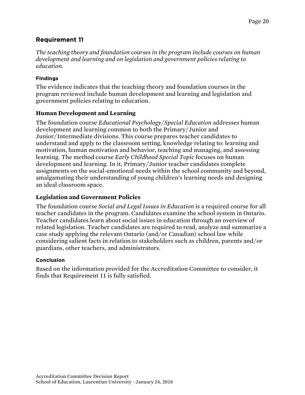*The teaching theory and foundation courses in the program include courses on human development and learning and on legislation and government policies relating to education.*

## Findings

The evidence indicates that the teaching theory and foundation courses in the program reviewed include human development and learning and legislation and government policies relating to education.

## **Human Development and Learning**

The foundation course *Educational Psychology/Special Education* addresses human development and learning common to both the Primary/Junior and Junior/Intermediate divisions. This course prepares teacher candidates to understand and apply to the classroom setting, knowledge relating to: learning and motivation, human motivation and behavior, teaching and managing, and assessing learning. The method course *Early Childhood Special Topic* focuses on human development and learning. In it, Primary/Junior teacher candidates complete assignments on the social-emotional needs within the school community and beyond, amalgamating their understanding of young children's learning needs and designing an ideal classroom space.

## **Legislation and Government Policies**

The foundation course *Social and Legal Issues in Education* is a required course for all teacher candidates in the program. Candidates examine the school system in Ontario. Teacher candidates learn about social issues in education through an overview of related legislation. Teacher candidates are required to read, analyze and summarize a case study applying the relevant Ontario (and/or Canadian) school law while considering salient facts in relation to stakeholders such as children, parents and/or guardians, other teachers, and administrators.

### Conclusion

Based on the information provided for the Accreditation Committee to consider, it finds that Requirement 11 is fully satisfied.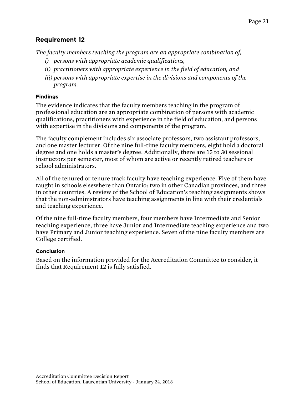*The faculty members teaching the program are an appropriate combination of,*

- *i) persons with appropriate academic qualifications,*
- *ii) practitioners with appropriate experience in the field of education, and*
- *iii) persons with appropriate expertise in the divisions and components of the program.*

#### Findings

The evidence indicates that the faculty members teaching in the program of professional education are an appropriate combination of persons with academic qualifications, practitioners with experience in the field of education, and persons with expertise in the divisions and components of the program.

The faculty complement includes six associate professors, two assistant professors, and one master lecturer. Of the nine full-time faculty members, eight hold a doctoral degree and one holds a master's degree. Additionally, there are 15 to 30 sessional instructors per semester, most of whom are active or recently retired teachers or school administrators.

All of the tenured or tenure track faculty have teaching experience. Five of them have taught in schools elsewhere than Ontario: two in other Canadian provinces, and three in other countries. A review of the School of Education's teaching assignments shows that the non-administrators have teaching assignments in line with their credentials and teaching experience.

Of the nine full-time faculty members, four members have Intermediate and Senior teaching experience, three have Junior and Intermediate teaching experience and two have Primary and Junior teaching experience. Seven of the nine faculty members are College certified.

### Conclusion

Based on the information provided for the Accreditation Committee to consider, it finds that Requirement 12 is fully satisfied.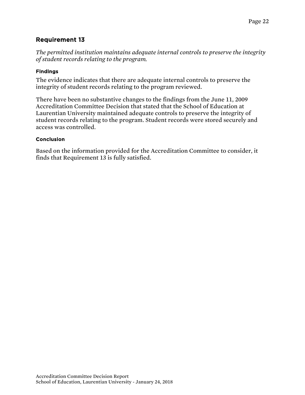*The permitted institution maintains adequate internal controls to preserve the integrity of student records relating to the program.*

#### Findings

The evidence indicates that there are adequate internal controls to preserve the integrity of student records relating to the program reviewed.

There have been no substantive changes to the findings from the June 11, 2009 Accreditation Committee Decision that stated that the School of Education at Laurentian University maintained adequate controls to preserve the integrity of student records relating to the program. Student records were stored securely and access was controlled.

#### Conclusion

Based on the information provided for the Accreditation Committee to consider, it finds that Requirement 13 is fully satisfied.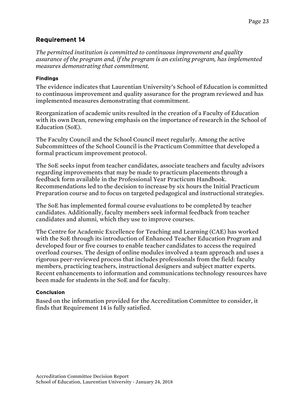*The permitted institution is committed to continuous improvement and quality assurance of the program and, if the program is an existing program, has implemented measures demonstrating that commitment.*

### Findings

The evidence indicates that Laurentian University's School of Education is committed to continuous improvement and quality assurance for the program reviewed and has implemented measures demonstrating that commitment.

Reorganization of academic units resulted in the creation of a Faculty of Education with its own Dean, renewing emphasis on the importance of research in the School of Education (SoE).

The Faculty Council and the School Council meet regularly. Among the active Subcommittees of the School Council is the Practicum Committee that developed a formal practicum improvement protocol.

The SoE seeks input from teacher candidates, associate teachers and faculty advisors regarding improvements that may be made to practicum placements through a feedback form available in the Professional Year Practicum Handbook. Recommendations led to the decision to increase by six hours the Initial Practicum Preparation course and to focus on targeted pedagogical and instructional strategies.

The SoE has implemented formal course evaluations to be completed by teacher candidates. Additionally, faculty members seek informal feedback from teacher candidates and alumni, which they use to improve courses.

The Centre for Academic Excellence for Teaching and Learning (CAE) has worked with the SoE through its introduction of Enhanced Teacher Education Program and developed four or five courses to enable teacher candidates to access the required overload courses. The design of online modules involved a team approach and uses a rigorous peer-reviewed process that includes professionals from the field: faculty members, practicing teachers, instructional designers and subject matter experts. Recent enhancements to information and communications technology resources have been made for students in the SoE and for faculty.

### **Conclusion**

Based on the information provided for the Accreditation Committee to consider, it finds that Requirement 14 is fully satisfied.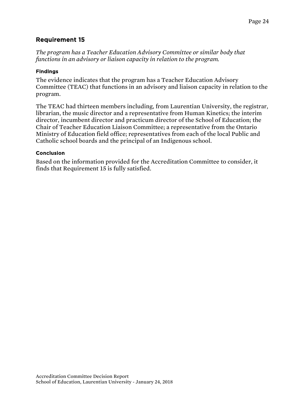*The program has a Teacher Education Advisory Committee or similar body that functions in an advisory or liaison capacity in relation to the program.*

#### Findings

The evidence indicates that the program has a Teacher Education Advisory Committee (TEAC) that functions in an advisory and liaison capacity in relation to the program.

The TEAC had thirteen members including, from Laurentian University, the registrar, librarian, the music director and a representative from Human Kinetics; the interim director, incumbent director and practicum director of the School of Education; the Chair of Teacher Education Liaison Committee; a representative from the Ontario Ministry of Education field office; representatives from each of the local Public and Catholic school boards and the principal of an Indigenous school.

#### Conclusion

Based on the information provided for the Accreditation Committee to consider, it finds that Requirement 15 is fully satisfied.